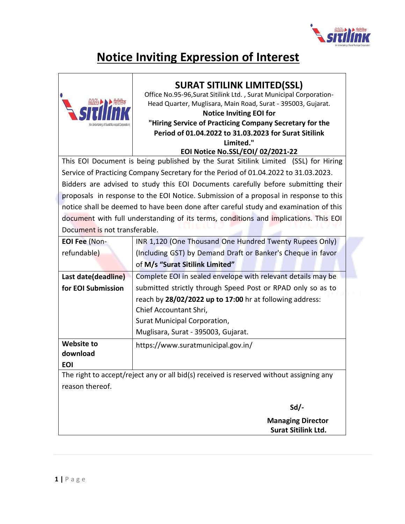

# **Notice Inviting Expression of Interest**



### **SURAT SITILINK LIMITED(SSL)**

Office No.95-96,Surat Sitilink Ltd. , Surat Municipal Corporation-Head Quarter, Muglisara, Main Road, Surat - 395003, Gujarat.

#### **Notice Inviting EOI for "Hiring Service of Practicing Company Secretary for the Period of 01.04.2022 to 31.03.2023 for Surat Sitilink Limited."**

#### **EOI Notice No.SSL/EOI/ 02/2021-22**

This EOI Document is being published by the Surat Sitilink Limited (SSL) for Hiring Service of Practicing Company Secretary for the Period of 01.04.2022 to 31.03.2023. Bidders are advised to study this EOI Documents carefully before submitting their proposals in response to the EOI Notice. Submission of a proposal in response to this notice shall be deemed to have been done after careful study and examination of this document with full understanding of its terms, conditions and implications. This EOI Document is not transferable.

| <b>EOI Fee (Non-</b>                                                                    | INR 1,120 (One Thousand One Hundred Twenty Rupees Only)      |  |  |
|-----------------------------------------------------------------------------------------|--------------------------------------------------------------|--|--|
| refundable)                                                                             | (Including GST) by Demand Draft or Banker's Cheque in favor  |  |  |
|                                                                                         | of M/s "Surat Sitilink Limited"                              |  |  |
| Last date(deadline)                                                                     | Complete EOI in sealed envelope with relevant details may be |  |  |
| for EOI Submission                                                                      | submitted strictly through Speed Post or RPAD only so as to  |  |  |
|                                                                                         | reach by 28/02/2022 up to 17:00 hr at following address:     |  |  |
|                                                                                         | Chief Accountant Shri,                                       |  |  |
|                                                                                         | Surat Municipal Corporation,                                 |  |  |
|                                                                                         | Muglisara, Surat - 395003, Gujarat.                          |  |  |
| <b>Website to</b>                                                                       | https://www.suratmunicipal.gov.in/                           |  |  |
| download                                                                                |                                                              |  |  |
| <b>EOI</b>                                                                              |                                                              |  |  |
| The right to accept/reject any or all bid(s) received is reserved without assigning any |                                                              |  |  |
| reason thereof.                                                                         |                                                              |  |  |
|                                                                                         |                                                              |  |  |
|                                                                                         | $Sd$ /-                                                      |  |  |
|                                                                                         | <b>Managing Director</b>                                     |  |  |
|                                                                                         | <b>Surat Sitilink Ltd.</b>                                   |  |  |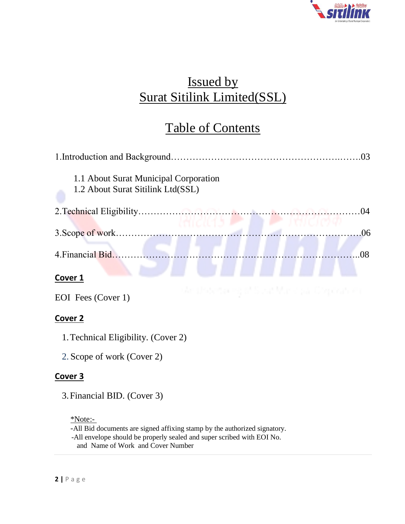

# Issued by Surat Sitilink Limited(SSL)

# Table of Contents

| 1.1 About Surat Municipal Corporation<br>1.2 About Surat Sitilink Ltd(SSL) |           |
|----------------------------------------------------------------------------|-----------|
|                                                                            | $^{(14)}$ |
|                                                                            | 06        |
| 4. Financial Bid                                                           | O8        |
| <b>Cover</b>                                                               |           |

EOI Fees (Cover 1)

### **Cover 2**

- 1.Technical Eligibility. (Cover 2)
- 2. Scope of work (Cover 2)

### **Cover 3**

3.Financial BID. (Cover 3)

### \*Note:-

-All Bid documents are signed affixing stamp by the authorized signatory. -All envelope should be properly sealed and super scribed with EOI No.

and Name of Work and Cover Number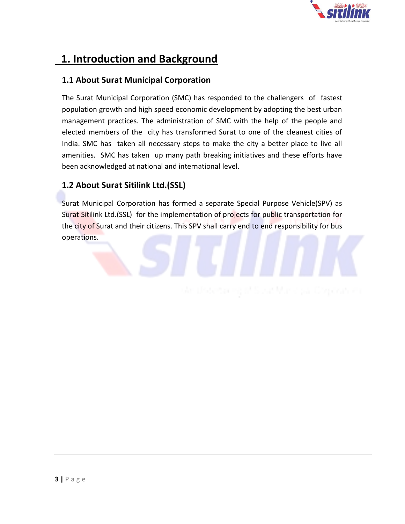

## **1. Introduction and Background**

### **1.1 About Surat Municipal Corporation**

The Surat Municipal Corporation (SMC) has responded to the challengers of fastest population growth and high speed economic development by adopting the best urban management practices. The administration of SMC with the help of the people and elected members of the city has transformed Surat to one of the cleanest cities of India. SMC has taken all necessary steps to make the city a better place to live all amenities. SMC has taken up many path breaking initiatives and these efforts have been acknowledged at national and international level.

### **1.2 About Surat Sitilink Ltd.(SSL)**

Surat Municipal Corporation has formed a separate Special Purpose Vehicle(SPV) as Surat Sitilink Ltd.(SSL) for the implementation of projects for public transportation for the city of Surat and their citizens. This SPV shall carry end to end responsibility for bus operations.

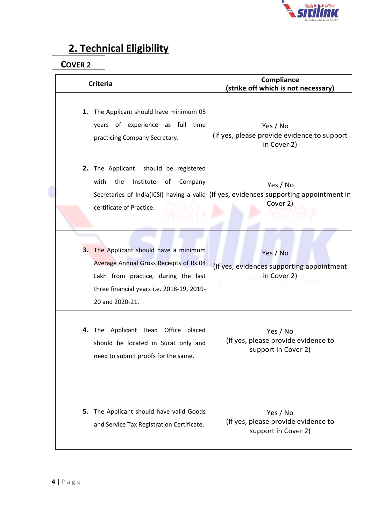

# **2. Technical Eligibility**

**COVER 2**

| <b>Criteria</b>                                                                                                                                                                         | Compliance<br>(strike off which is not necessary)                                                                       |
|-----------------------------------------------------------------------------------------------------------------------------------------------------------------------------------------|-------------------------------------------------------------------------------------------------------------------------|
| 1. The Applicant should have minimum 05<br>years of experience as full time<br>practicing Company Secretary.                                                                            | Yes / No<br>(If yes, please provide evidence to support<br>in Cover 2)                                                  |
| 2. The Applicant should be registered<br>with<br>the<br>Institute<br>of<br>Company<br>certificate of Practice.                                                                          | Yes / No<br>Secretaries of India(ICSI) having a valid $\left $ (If yes, evidences supporting appointment in<br>Cover 2) |
| 3. The Applicant should have a minimum<br>Average Annual Gross Receipts of Rs.04<br>Lakh from practice, during the last<br>three financial years i.e. 2018-19, 2019-<br>20 and 2020-21. | Yes / No<br>(If yes, evidences supporting appointment<br>in Cover 2)                                                    |
| 4. The Applicant Head Office placed<br>should be located in Surat only and<br>need to submit proofs for the same.                                                                       | Yes / No<br>(If yes, please provide evidence to<br>support in Cover 2)                                                  |
| 5. The Applicant should have valid Goods<br>and Service Tax Registration Certificate.                                                                                                   | Yes / No<br>(If yes, please provide evidence to<br>support in Cover 2)                                                  |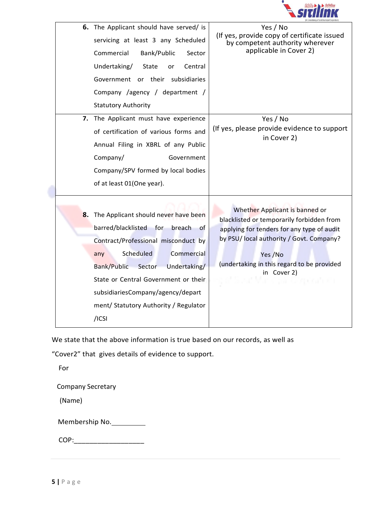

|    | 6. The Applicant should have served/ is      | Yes / No                                                                              |
|----|----------------------------------------------|---------------------------------------------------------------------------------------|
|    | servicing at least 3 any Scheduled           | (If yes, provide copy of certificate issued<br>by competent authority wherever        |
|    | Commercial<br>Bank/Public<br>Sector          | applicable in Cover 2)                                                                |
|    | Undertaking/<br>Central<br>State<br>or       |                                                                                       |
|    | Government or their subsidiaries             |                                                                                       |
|    |                                              |                                                                                       |
|    | Company /agency / department /               |                                                                                       |
|    | <b>Statutory Authority</b>                   |                                                                                       |
| 7. | The Applicant must have experience           | Yes / No                                                                              |
|    | of certification of various forms and        | (If yes, please provide evidence to support<br>in Cover 2)                            |
|    | Annual Filing in XBRL of any Public          |                                                                                       |
|    | Company/<br>Government                       |                                                                                       |
|    | Company/SPV formed by local bodies           |                                                                                       |
|    | of at least 01(One year).                    |                                                                                       |
|    |                                              |                                                                                       |
| 8. | The Applicant should never have been         | Whether Applicant is banned or                                                        |
|    | barred/blacklisted for<br>breach<br>of -     | blacklisted or temporarily forbidden from                                             |
|    |                                              | applying for tenders for any type of audit<br>by PSU/local authority / Govt. Company? |
|    | Contract/Professional misconduct by          |                                                                                       |
|    | Scheduled<br>Commercial<br>any               | Yes /No                                                                               |
|    | <b>Bank/Public</b><br>Sector<br>Undertaking/ | (undertaking in this regard to be provided<br>in Cover 2)                             |
|    | State or Central Government or their         | Mar si pa lluizgerati en                                                              |
|    | subsidiariesCompany/agency/depart            |                                                                                       |
|    | ment/ Statutory Authority / Regulator        |                                                                                       |
|    | $/$ ICSI                                     |                                                                                       |
|    |                                              |                                                                                       |

We state that the above information is true based on our records, as well as

"Cover2" that gives details of evidence to support.

For

Company Secretary

(Name)

| Membership No. |  |
|----------------|--|
|----------------|--|

COP:\_\_\_\_\_\_\_\_\_\_\_\_\_\_\_\_\_\_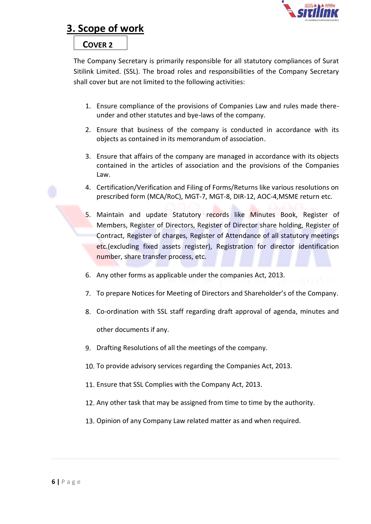

### **3. Scope of work**

#### **COVER 2**

The Company Secretary is primarily responsible for all statutory compliances of Surat Sitilink Limited. (SSL). The broad roles and responsibilities of the Company Secretary shall cover but are not limited to the following activities:

- 1. Ensure compliance of the provisions of Companies Law and rules made thereunder and other statutes and bye-laws of the company.
- 2. Ensure that business of the company is conducted in accordance with its objects as contained in its memorandum of association.
- 3. Ensure that affairs of the company are managed in accordance with its objects contained in the articles of association and the provisions of the Companies Law.
- 4. Certification/Verification and Filing of Forms/Returns like various resolutions on prescribed form (MCA/RoC), MGT-7, MGT-8, DIR-12, AOC-4,MSME return etc.
- 5. Maintain and update Statutory records like Minutes Book, Register of Members, Register of Directors, Register of Director share holding, Register of Contract, Register of charges, Register of Attendance of all statutory meetings etc.(excluding fixed assets register), Registration for director identification number, share transfer process, etc.
- 6. Any other forms as applicable under the companies Act, 2013.
- 7. To prepare Notices for Meeting of Directors and Shareholder's of the Company.
- 8. Co-ordination with SSL staff regarding draft approval of agenda, minutes and other documents if any.
- 9. Drafting Resolutions of all the meetings of the company.
- 10. To provide advisory services regarding the Companies Act, 2013.
- 11. Ensure that SSL Complies with the Company Act, 2013.
- 12. Any other task that may be assigned from time to time by the authority.
- 13. Opinion of any Company Law related matter as and when required.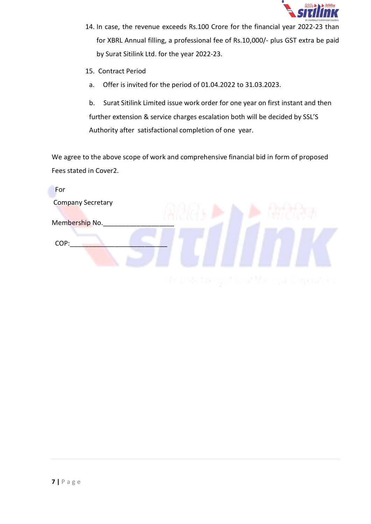

- 14. In case, the revenue exceeds Rs.100 Crore for the financial year 2022-23 than for XBRL Annual filling, a professional fee of Rs.10,000/- plus GST extra be paid by Surat Sitilink Ltd. for the year 2022-23.
- 15. Contract Period
- a. Offer is invited for the period of 01.04.2022 to 31.03.2023.

b. Surat Sitilink Limited issue work order for one year on first instant and then further extension & service charges escalation both will be decided by SSL'S Authority after satisfactional completion of one year.

We agree to the above scope of work and comprehensive financial bid in form of proposed Fees stated in Cover2.

| For                      |                                  |
|--------------------------|----------------------------------|
| <b>Company Secretary</b> |                                  |
|                          |                                  |
| Membership No.           |                                  |
| COP:                     |                                  |
|                          |                                  |
|                          |                                  |
|                          | the common com-<br>and the first |